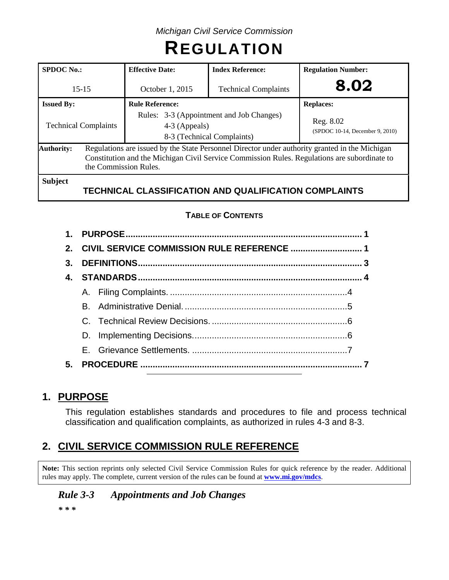# **REGULATION**

| <b>SPDOC</b> No.:           | <b>Effective Date:</b>                                                                                                                                                                                                  | <b>Index Reference:</b>                               | <b>Regulation Number:</b>                    |  |  |  |  |
|-----------------------------|-------------------------------------------------------------------------------------------------------------------------------------------------------------------------------------------------------------------------|-------------------------------------------------------|----------------------------------------------|--|--|--|--|
| $15 - 15$                   | <b>Technical Complaints</b><br>October 1, 2015                                                                                                                                                                          |                                                       | 8.02                                         |  |  |  |  |
| <b>Issued By:</b>           | <b>Rule Reference:</b>                                                                                                                                                                                                  |                                                       | <b>Replaces:</b>                             |  |  |  |  |
| <b>Technical Complaints</b> | Rules: 3-3 (Appointment and Job Changes)<br>4-3 (Appeals)<br>8-3 (Technical Complaints)                                                                                                                                 |                                                       | Reg. 8.02<br>(SPDOC 10-14, December 9, 2010) |  |  |  |  |
| <b>Authority:</b>           | Regulations are issued by the State Personnel Director under authority granted in the Michigan<br>Constitution and the Michigan Civil Service Commission Rules. Regulations are subordinate to<br>the Commission Rules. |                                                       |                                              |  |  |  |  |
| <b>Subject</b>              |                                                                                                                                                                                                                         | TECHNICAL CLASSIFICATION AND QUALIFICATION COMPLAINTS |                                              |  |  |  |  |

## **TABLE OF CONTENTS**

| 3. |  |  |  |  |  |
|----|--|--|--|--|--|
|    |  |  |  |  |  |
|    |  |  |  |  |  |
|    |  |  |  |  |  |
|    |  |  |  |  |  |
|    |  |  |  |  |  |
|    |  |  |  |  |  |
| 5. |  |  |  |  |  |

# **1. PURPOSE**

This regulation establishes standards and procedures to file and process technical classification and qualification complaints, as authorized in rules 4-3 and 8-3.

# **2. CIVIL SERVICE COMMISSION RULE REFERENCE**

**Note:** This section reprints only selected Civil Service Commission Rules for quick reference by the reader. Additional rules may apply. The complete, current version of the rules can be found at **[www.mi.gov/mdcs](http://www.mi.gov/mdcs)**.

# *Rule 3-3 Appointments and Job Changes*

*\* \* \**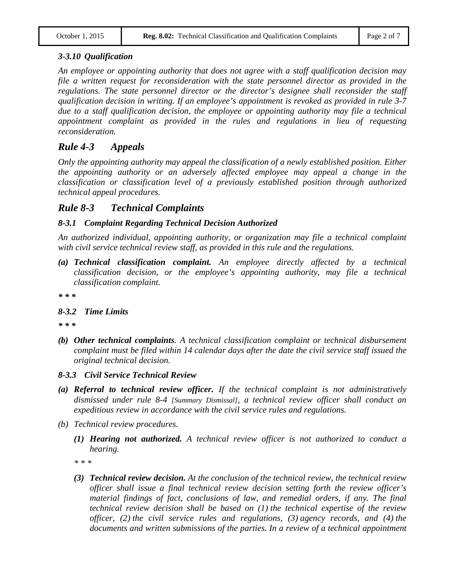## *3-3.10 Qualification*

*An employee or appointing authority that does not agree with a staff qualification decision may file a written request for reconsideration with the state personnel director as provided in the regulations. The state personnel director or the director's designee shall reconsider the staff qualification decision in writing. If an employee's appointment is revoked as provided in rule 3-7 due to a staff qualification decision, the employee or appointing authority may file a technical appointment complaint as provided in the rules and regulations in lieu of requesting reconsideration.*

## *Rule 4-3 Appeals*

*Only the appointing authority may appeal the classification of a newly established position. Either the appointing authority or an adversely affected employee may appeal a change in the classification or classification level of a previously established position through authorized technical appeal procedures.*

## *Rule 8-3 Technical Complaints*

## *8-3.1 Complaint Regarding Technical Decision Authorized*

*An authorized individual, appointing authority, or organization may file a technical complaint with civil service technical review staff, as provided in this rule and the regulations.*

*(a) Technical classification complaint. An employee directly affected by a technical classification decision, or the employee's appointing authority, may file a technical classification complaint.*

*\* \* \**

## *8-3.2 Time Limits*

*\* \* \**

- *(b) Other technical complaints. A technical classification complaint or technical disbursement complaint must be filed within 14 calendar days after the date the civil service staff issued the original technical decision.*
- *8-3.3 Civil Service Technical Review*
- *(a) Referral to technical review officer. If the technical complaint is not administratively dismissed under rule 8-4 [Summary Dismissal], a technical review officer shall conduct an expeditious review in accordance with the civil service rules and regulations.*
- *(b) Technical review procedures.*
	- *(1) Hearing not authorized. A technical review officer is not authorized to conduct a hearing.*

*\* \* \**

*(3) Technical review decision. At the conclusion of the technical review, the technical review officer shall issue a final technical review decision setting forth the review officer's material findings of fact, conclusions of law, and remedial orders, if any. The final technical review decision shall be based on (1) the technical expertise of the review officer, (2) the civil service rules and regulations, (3) agency records, and (4) the documents and written submissions of the parties. In a review of a technical appointment*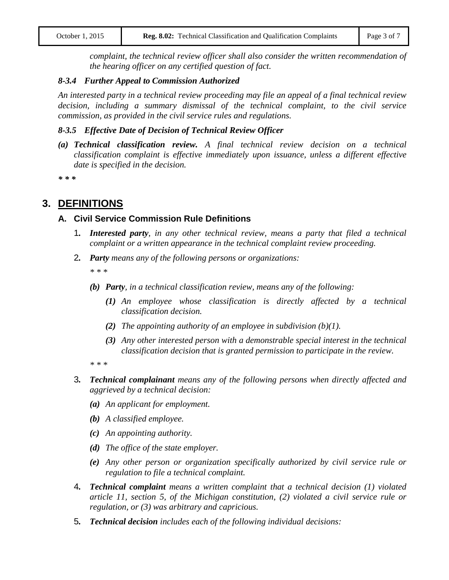*complaint, the technical review officer shall also consider the written recommendation of the hearing officer on any certified question of fact.*

#### *8-3.4 Further Appeal to Commission Authorized*

*An interested party in a technical review proceeding may file an appeal of a final technical review decision, including a summary dismissal of the technical complaint, to the civil service commission, as provided in the civil service rules and regulations.*

#### *8-3.5 Effective Date of Decision of Technical Review Officer*

*(a) Technical classification review. A final technical review decision on a technical classification complaint is effective immediately upon issuance, unless a different effective date is specified in the decision.*

*\* \* \**

## **3. DEFINITIONS**

## **A. Civil Service Commission Rule Definitions**

- 1*. Interested party, in any other technical review, means a party that filed a technical complaint or a written appearance in the technical complaint review proceeding.*
- 2*. Party means any of the following persons or organizations:*

*\* \* \**

- *(b) Party, in a technical classification review, means any of the following:*
	- *(1) An employee whose classification is directly affected by a technical classification decision.*
	- *(2) The appointing authority of an employee in subdivision (b)(1).*
	- *(3) Any other interested person with a demonstrable special interest in the technical classification decision that is granted permission to participate in the review.*

*\* \* \**

- 3*. Technical complainant means any of the following persons when directly affected and aggrieved by a technical decision:*
	- *(a) An applicant for employment.*
	- *(b) A classified employee.*
	- *(c) An appointing authority.*
	- *(d) The office of the state employer.*
	- *(e) Any other person or organization specifically authorized by civil service rule or regulation to file a technical complaint.*
- 4*. Technical complaint means a written complaint that a technical decision (1) violated article 11, section 5, of the Michigan constitution, (2) violated a civil service rule or regulation, or (3) was arbitrary and capricious.*
- 5*. Technical decision includes each of the following individual decisions:*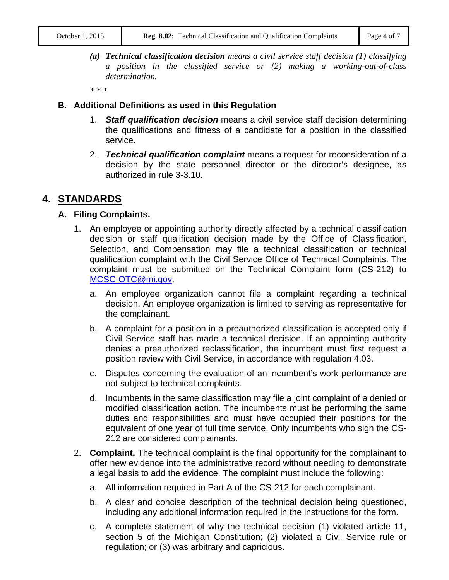*(a) Technical classification decision means a civil service staff decision (1) classifying a position in the classified service or (2) making a working-out-of-class determination.*

*\* \* \**

#### **B. Additional Definitions as used in this Regulation**

- 1. *Staff qualification decision* means a civil service staff decision determining the qualifications and fitness of a candidate for a position in the classified service.
- 2. *Technical qualification complaint* means a request for reconsideration of a decision by the state personnel director or the director's designee, as authorized in rule 3-3.10.

## **4. STANDARDS**

## **A. Filing Complaints.**

- 1. An employee or appointing authority directly affected by a technical classification decision or staff qualification decision made by the Office of Classification, Selection, and Compensation may file a technical classification or technical qualification complaint with the Civil Service Office of Technical Complaints. The complaint must be submitted on the Technical Complaint form (CS-212) to [MCSC-OTC@mi.gov.](mailto:MCSC-OTC@mi.gov)
	- a. An employee organization cannot file a complaint regarding a technical decision. An employee organization is limited to serving as representative for the complainant.
	- b. A complaint for a position in a preauthorized classification is accepted only if Civil Service staff has made a technical decision. If an appointing authority denies a preauthorized reclassification, the incumbent must first request a position review with Civil Service, in accordance with regulation 4.03.
	- c. Disputes concerning the evaluation of an incumbent's work performance are not subject to technical complaints.
	- d. Incumbents in the same classification may file a joint complaint of a denied or modified classification action. The incumbents must be performing the same duties and responsibilities and must have occupied their positions for the equivalent of one year of full time service. Only incumbents who sign the CS-212 are considered complainants.
- 2. **Complaint.** The technical complaint is the final opportunity for the complainant to offer new evidence into the administrative record without needing to demonstrate a legal basis to add the evidence. The complaint must include the following:
	- a. All information required in Part A of the CS-212 for each complainant.
	- b. A clear and concise description of the technical decision being questioned, including any additional information required in the instructions for the form.
	- c. A complete statement of why the technical decision (1) violated article 11, section 5 of the Michigan Constitution; (2) violated a Civil Service rule or regulation; or (3) was arbitrary and capricious.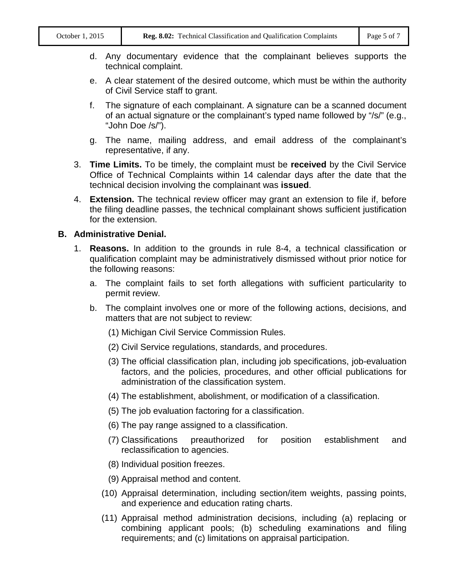- d. Any documentary evidence that the complainant believes supports the technical complaint.
- e. A clear statement of the desired outcome, which must be within the authority of Civil Service staff to grant.
- f. The signature of each complainant. A signature can be a scanned document of an actual signature or the complainant's typed name followed by "/s/" (e.g., "John Doe /s/").
- g. The name, mailing address, and email address of the complainant's representative, if any.
- 3. **Time Limits.** To be timely, the complaint must be **received** by the Civil Service Office of Technical Complaints within 14 calendar days after the date that the technical decision involving the complainant was **issued**.
- 4. **Extension.** The technical review officer may grant an extension to file if, before the filing deadline passes, the technical complainant shows sufficient justification for the extension.

#### **B. Administrative Denial.**

- 1. **Reasons.** In addition to the grounds in rule 8-4, a technical classification or qualification complaint may be administratively dismissed without prior notice for the following reasons:
	- a. The complaint fails to set forth allegations with sufficient particularity to permit review.
	- b. The complaint involves one or more of the following actions, decisions, and matters that are not subject to review:
		- (1) Michigan Civil Service Commission Rules.
		- (2) Civil Service regulations, standards, and procedures.
		- (3) The official classification plan, including job specifications, job-evaluation factors, and the policies, procedures, and other official publications for administration of the classification system.
		- (4) The establishment, abolishment, or modification of a classification.
		- (5) The job evaluation factoring for a classification.
		- (6) The pay range assigned to a classification.
		- (7) Classifications preauthorized for position establishment and reclassification to agencies.
		- (8) Individual position freezes.
		- (9) Appraisal method and content.
		- (10) Appraisal determination, including section/item weights, passing points, and experience and education rating charts.
		- (11) Appraisal method administration decisions, including (a) replacing or combining applicant pools; (b) scheduling examinations and filing requirements; and (c) limitations on appraisal participation.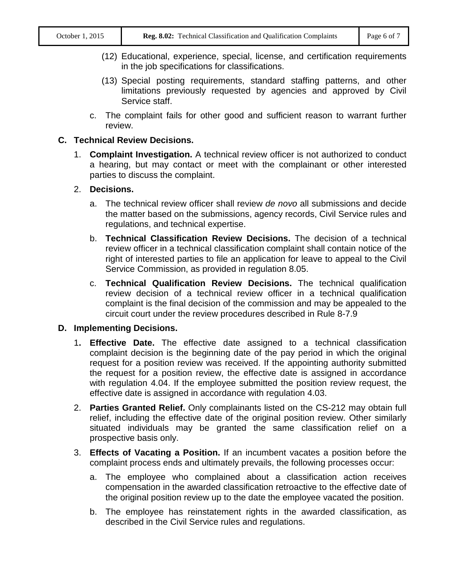- (12) Educational, experience, special, license, and certification requirements in the job specifications for classifications.
- (13) Special posting requirements, standard staffing patterns, and other limitations previously requested by agencies and approved by Civil Service staff.
- c. The complaint fails for other good and sufficient reason to warrant further review.

## **C. Technical Review Decisions.**

1. **Complaint Investigation.** A technical review officer is not authorized to conduct a hearing, but may contact or meet with the complainant or other interested parties to discuss the complaint.

## 2. **Decisions.**

- a. The technical review officer shall review *de novo* all submissions and decide the matter based on the submissions, agency records, Civil Service rules and regulations, and technical expertise.
- b. **Technical Classification Review Decisions.** The decision of a technical review officer in a technical classification complaint shall contain notice of the right of interested parties to file an application for leave to appeal to the Civil Service Commission, as provided in regulation 8.05.
- c. **Technical Qualification Review Decisions.** The technical qualification review decision of a technical review officer in a technical qualification complaint is the final decision of the commission and may be appealed to the circuit court under the review procedures described in Rule 8-7.9

## **D. Implementing Decisions.**

- 1**. Effective Date.** The effective date assigned to a technical classification complaint decision is the beginning date of the pay period in which the original request for a position review was received. If the appointing authority submitted the request for a position review, the effective date is assigned in accordance with regulation 4.04. If the employee submitted the position review request, the effective date is assigned in accordance with regulation 4.03.
- 2. **Parties Granted Relief.** Only complainants listed on the CS-212 may obtain full relief, including the effective date of the original position review. Other similarly situated individuals may be granted the same classification relief on a prospective basis only.
- 3. **Effects of Vacating a Position.** If an incumbent vacates a position before the complaint process ends and ultimately prevails, the following processes occur:
	- a. The employee who complained about a classification action receives compensation in the awarded classification retroactive to the effective date of the original position review up to the date the employee vacated the position.
	- b. The employee has reinstatement rights in the awarded classification, as described in the Civil Service rules and regulations.